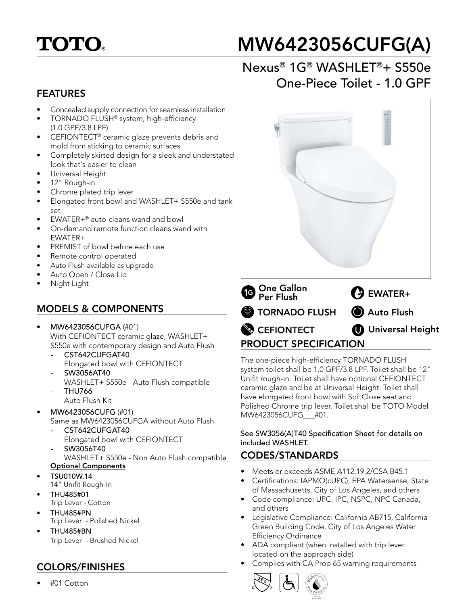

# MW6423056CUFG(A)

# Nexus® 1G® WASHLET®+ S550e One-Piece Toilet - 1.0 GPF

#### FEATURES

- Concealed supply connection for seamless installation
- TORNADO FLUSH® system, high-efficiency
- (1.0 GPF/3.8 LPF)
- CEFIONTECT® ceramic glaze prevents debris and mold from sticking to ceramic surfaces
- Completely skirted design for a sleek and understated look that's easier to clean
- Universal Height
- 12" Rough-in
- Chrome plated trip lever
- Elongated front bowl and WASHLET+ S550e and tank set
- EWATER+® auto-cleans wand and bowl
- On-demand remote function cleans wand with EWATER+
- PREMIST of bowl before each use
- Remote control operated
- Auto Flush available as upgrade
- Auto Open / Close Lid
- Night Light

## MODELS & COMPONENTS

- MW6423056CUFGA (#01) With CEFIONTECT ceramic glaze, WASHLET+ S550e with contemporary design and Auto Flush
	- *-* CST642CUFGAT40 Elongated bowl with CEFIONTECT
	- *-* SW3056AT40 WASHLET+ S550e - Auto Flush compatible - THU766
	- Auto Flush Kit
- MW6423056CUFG (#01) Same as MW6423056CUFGA without Auto Flush
	- *-* CST642CUFGAT40
		- Elongated bowl with CEFIONTECT
	- *-* SW3056T40

WASHLET+ S550e - Non Auto Flush compatible Optional Components

- TSU010W.14
- 14" Unifit Rough-In
- THU485#01
- Trip Lever Cotton
- THU485#PN
	- Trip Lever Polished Nickel
- THU485#BN Trip Lever - Brushed Nickel

## COLORS/FINISHES

• #01 Cotton



The one-piece high-efficiency TORNADO FLUSH system toilet shall be 1.0 GPF/3.8 LPF. Toilet shall be 12" Unifit rough-in. Toilet shall have optional CEFIONTECT ceramic glaze and be at Universal Height. Toilet shall have elongated front bowl with SoftClose seat and Polished Chrome trip lever. Toilet shall be TOTO Model MW6423056CUFG\_\_\_#01.

See SW3056(A)T40 Specification Sheet for details on included WASHLET.

## CODES/STANDARDS

- Meets or exceeds ASME A112.19.2/CSA B45.1
- Certifications: IAPMO(cUPC), EPA Watersense, State of Massachusetts, City of Los Angeles, and others
- Code compliance: UPC, IPC, NSPC, NPC Canada, and others
- Legislative Compliance: California AB715, California Green Building Code, City of Los Angeles Water Efficiency Ordinance
- ADA compliant (when installed with trip lever located on the approach side)
- Complies with CA Prop 65 warning requirements